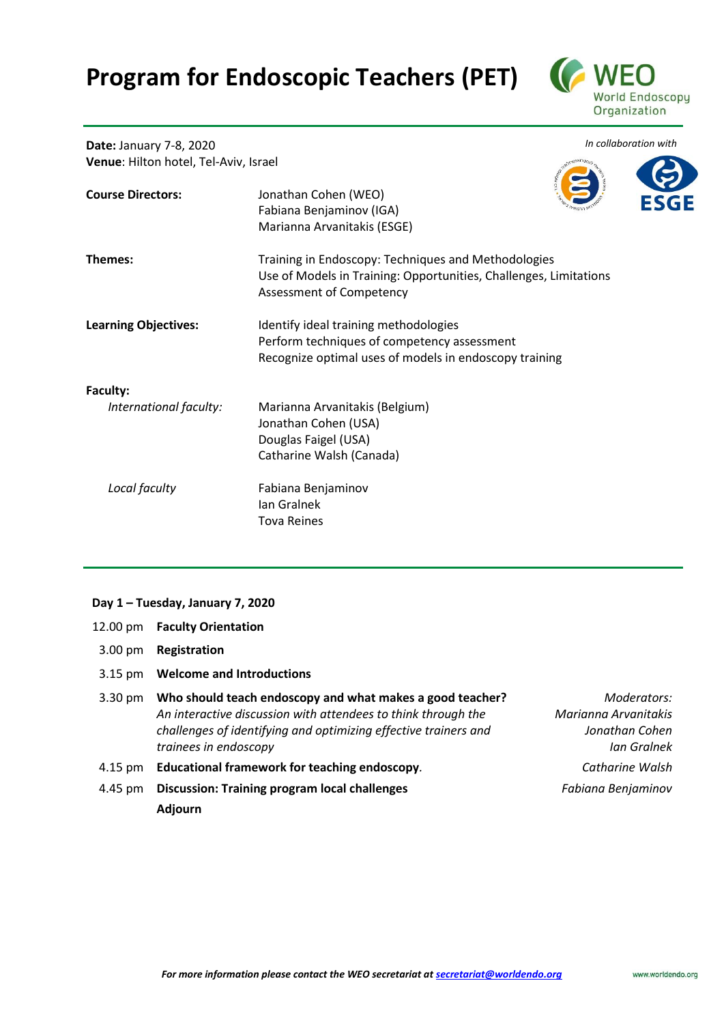## **Program for Endoscopic Teachers (PET)**



**Date:** January 7-8, 2020 **Venue**: Hilton hotel, Tel-Aviv, Israel



| <b>Course Directors:</b>    | Jonathan Cohen (WEO)<br>Fabiana Benjaminov (IGA)<br>Marianna Arvanitakis (ESGE)                                                                      |
|-----------------------------|------------------------------------------------------------------------------------------------------------------------------------------------------|
| Themes:                     | Training in Endoscopy: Techniques and Methodologies<br>Use of Models in Training: Opportunities, Challenges, Limitations<br>Assessment of Competency |
| <b>Learning Objectives:</b> | Identify ideal training methodologies<br>Perform techniques of competency assessment<br>Recognize optimal uses of models in endoscopy training       |
| Faculty:                    |                                                                                                                                                      |
| International faculty:      | Marianna Arvanitakis (Belgium)<br>Jonathan Cohen (USA)<br>Douglas Faigel (USA)<br>Catharine Walsh (Canada)                                           |
| Local faculty               | Fabiana Benjaminov<br>lan Gralnek<br><b>Tova Reines</b>                                                                                              |

## **Day 1 – Tuesday, January 7, 2020**

- 12.00 pm **Faculty Orientation**
- 3.00 pm **Registration**
- 3.15 pm **Welcome and Introductions**
- 3.30 pm **Who should teach endoscopy and what makes a good teacher?** *An interactive discussion with attendees to think through the challenges of identifying and optimizing effective trainers and trainees in endoscopy*
- 4.15 pm **Educational framework for teaching endoscopy***. Catharine Walsh*
- 4.45 pm **Discussion: Training program local challenges** *Fabiana Benjaminov* **Adjourn**
- *Moderators: Marianna Arvanitakis Jonathan Cohen Ian Gralnek*